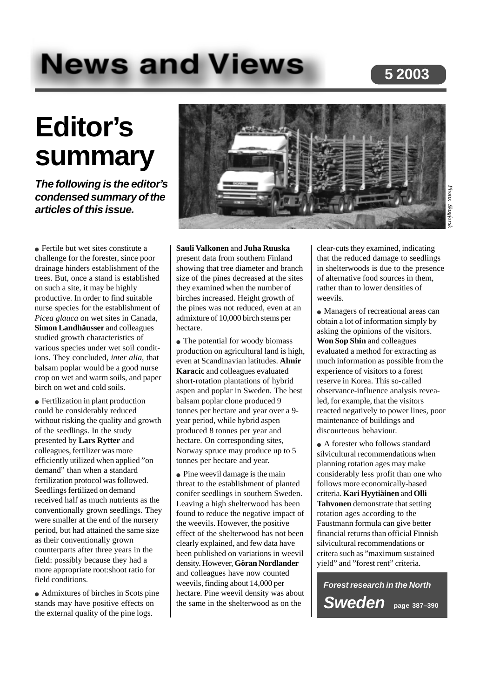# **News and Views**

## **5 2003**

## **Editor's summary**

**The following is the editor's condensed summary of the articles of this issue.**

● Fertile but wet sites constitute a challenge for the forester, since poor drainage hinders establishment of the trees. But, once a stand is established on such a site, it may be highly productive. In order to find suitable nurse species for the establishment of *Picea glauca* on wet sites in Canada, **Simon Landhäusser** and colleagues studied growth characteristics of various species under wet soil conditions. They concluded, *inter alia*, that balsam poplar would be a good nurse crop on wet and warm soils, and paper birch on wet and cold soils.

• Fertilization in plant production could be considerably reduced without risking the quality and growth of the seedlings. In the study presented by **Lars Rytter** and colleagues, fertilizer was more efficiently utilized when applied "on demand" than when a standard fertilization protocol was followed. Seedlings fertilized on demand received half as much nutrients as the conventionally grown seedlings. They were smaller at the end of the nursery period, but had attained the same size as their conventionally grown counterparts after three years in the field: possibly because they had a more appropriate root:shoot ratio for field conditions.

● Admixtures of birches in Scots pine stands may have positive effects on the external quality of the pine logs.



#### **Sauli Valkonen** and **Juha Ruuska**

present data from southern Finland showing that tree diameter and branch size of the pines decreased at the sites they examined when the number of birches increased. Height growth of the pines was not reduced, even at an admixture of 10,000 birch stems per hectare.

• The potential for woody biomass production on agricultural land is high, even at Scandinavian latitudes. **Almir Karacic** and colleagues evaluated short-rotation plantations of hybrid aspen and poplar in Sweden. The best balsam poplar clone produced 9 tonnes per hectare and year over a 9 year period, while hybrid aspen produced 8 tonnes per year and hectare. On corresponding sites, Norway spruce may produce up to 5 tonnes per hectare and year.

• Pine weevil damage is the main threat to the establishment of planted conifer seedlings in southern Sweden. Leaving a high shelterwood has been found to reduce the negative impact of the weevils. However, the positive effect of the shelterwood has not been clearly explained, and few data have been published on variations in weevil density. However, **Göran Nordlander** and colleagues have now counted weevils, finding about 14,000 per hectare. Pine weevil density was about the same in the shelterwood as on the

clear-cuts they examined, indicating that the reduced damage to seedlings in shelterwoods is due to the presence of alternative food sources in them, rather than to lower densities of weevils.

● Managers of recreational areas can obtain a lot of information simply by asking the opinions of the visitors. **Won Sop Shin** and colleagues evaluated a method for extracting as much information as possible from the experience of visitors to a forest reserve in Korea. This so-called observance-influence analysis revealed, for example, that the visitors reacted negatively to power lines, poor maintenance of buildings and discourteous behaviour.

• A forester who follows standard silvicultural recommendations when planning rotation ages may make considerably less profit than one who follows more economically-based criteria. **Kari Hyytiäinen** and **Olli Tahvonen** demonstrate that setting rotation ages according to the Faustmann formula can give better financial returns than official Finnish silvicultural recommendations or critera such as "maximum sustained yield" and "forest rent" criteria.

**Forest research in the North Sweden page 387–390**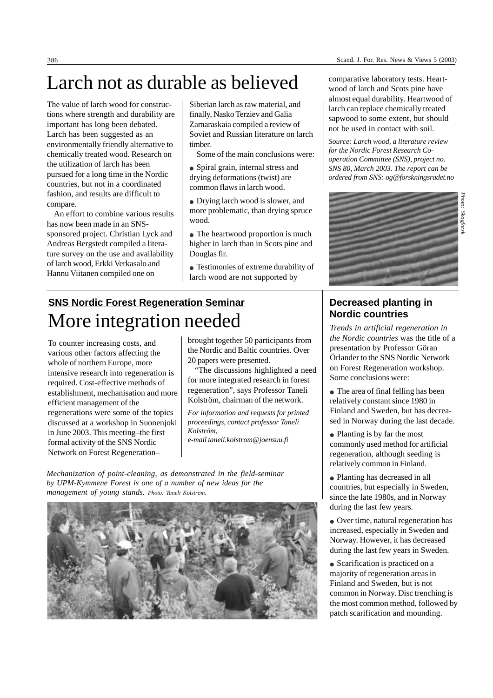## Larch not as durable as believed

The value of larch wood for constructions where strength and durability are important has long been debated. Larch has been suggested as an environmentally friendly alternative to chemically treated wood. Research on the utilization of larch has been pursued for a long time in the Nordic countries, but not in a coordinated fashion, and results are difficult to compare.

An effort to combine various results has now been made in an SNSsponsored project. Christian Lyck and Andreas Bergstedt compiled a literature survey on the use and availability of larch wood, Erkki Verkasalo and Hannu Viitanen compiled one on

Siberian larch as raw material, and finally, Nasko Terziev and Galia Zamaraskaia compiled a review of Soviet and Russian literature on larch timber.

Some of the main conclusions were:

- Spiral grain, internal stress and drying deformations (twist) are common flaws in larch wood.
- Drying larch wood is slower, and more problematic, than drying spruce wood.
- The heartwood proportion is much higher in larch than in Scots pine and Douglas fir.
- Testimonies of extreme durability of larch wood are not supported by

## **SNS Nordic Forest Regeneration Seminar** More integration needed **Nordic countries**

To counter increasing costs, and various other factors affecting the whole of northern Europe, more intensive research into regeneration is required. Cost-effective methods of establishment, mechanisation and more efficient management of the regenerations were some of the topics discussed at a workshop in Suonenjoki in June 2003. This meeting–the first formal activity of the SNS Nordic Network on Forest Regeneration–

brought together 50 participants from the Nordic and Baltic countries. Over 20 papers were presented.

"The discussions highlighted a need for more integrated research in forest regeneration", says Professor Taneli Kolström, chairman of the network.

*For information and requests for printed proceedings, contact professor Taneli Kolström, e-mail taneli.kolstrom@joensuu.fi*

*Mechanization of point-cleaning, as demonstrated in the field-seminar by UPM-Kymmene Forest is one of a number of new ideas for the management of young stands. Photo: Taneli Kolström.*



comparative laboratory tests. Heartwood of larch and Scots pine have almost equal durability. Heartwood of larch can replace chemically treated sapwood to some extent, but should not be used in contact with soil.

*Source: Larch wood, a literature review for the Nordic Forest Research Cooperation Committee (SNS), project no. SNS 80, March 2003. The report can be ordered from SNS: og@forskningsradet.no*



### **Decreased planting in Nordic countries**

*the Nordic countries* was the title of a presentation by Professor Göran Örlander to the SNS Nordic Network on Forest Regeneration workshop. Some conclusions were:

- The area of final felling has been relatively constant since 1980 in Finland and Sweden, but has decreased in Norway during the last decade.
- Planting is by far the most commonly used method for artificial regeneration, although seeding is relatively common in Finland.
- Planting has decreased in all countries, but especially in Sweden, since the late 1980s, and in Norway during the last few years.
- Over time, natural regeneration has increased, especially in Sweden and Norway. However, it has decreased during the last few years in Sweden.
- Scarification is practiced on a majority of regeneration areas in Finland and Sweden, but is not common in Norway. Disc trenching is the most common method, followed by patch scarification and mounding.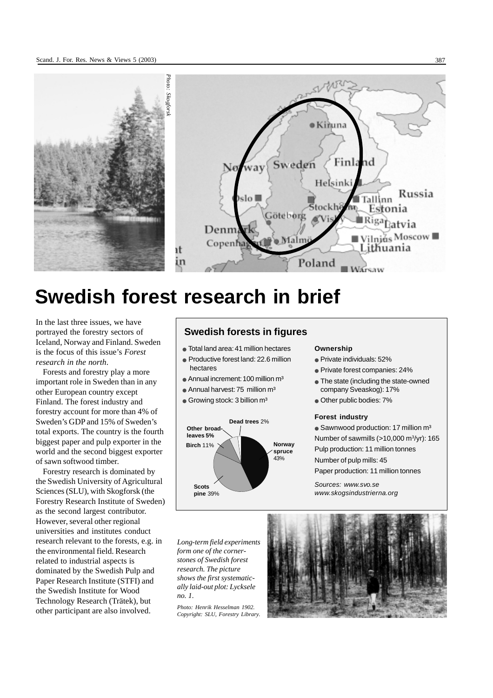

## **Swedish forest research in brief**

In the last three issues, we have portrayed the forestry sectors of Iceland, Norway and Finland. Sweden is the focus of this issue's *Forest research in the north*.

Forests and forestry play a more important role in Sweden than in any other European country except Finland. The forest industry and forestry account for more than 4% of Sweden's GDP and 15% of Sweden's total exports. The country is the fourth biggest paper and pulp exporter in the world and the second biggest exporter of sawn softwood timber.

Forestry research is dominated by the Swedish University of Agricultural Sciences (SLU), with Skogforsk (the Forestry Research Institute of Sweden) as the second largest contributor. However, several other regional universities and institutes conduct research relevant to the forests, e.g. in the environmental field. Research related to industrial aspects is dominated by the Swedish Pulp and Paper Research Institute (STFI) and the Swedish Institute for Wood Technology Research (Trätek), but other participant are also involved.

#### **Swedish forests in figures**

- Total land area: 41 million hectares
- Productive forest land: 22.6 million hectares
- $\bullet$  Annual increment: 100 million  $m<sup>3</sup>$
- $\bullet$  Annual harvest: 75 million  $m<sup>3</sup>$
- $\bullet$  Growing stock: 3 billion m<sup>3</sup>



#### **Ownership**

- Private individuals: 52%
- Private forest companies: 24%
- The state (including the state-owned company Sveaskog): 17%
- Other public bodies: 7%

#### **Forest industry**

 $\bullet$  Sawnwood production: 17 million m<sup>3</sup> Number of sawmills (>10,000 m<sup>3</sup>/yr): 165 Pulp production: 11 million tonnes Number of pulp mills: 45 Paper production: 11 million tonnes

Sources: www.svo.se www.skogsindustrierna.org

*Long-term field experiments form one of the cornerstones of Swedish forest research. The picture shows the first systematically laid-out plot: Lycksele no. 1.*

*Photo: Henrik Hesselman 1902. Copyright: SLU, Forestry Library.*

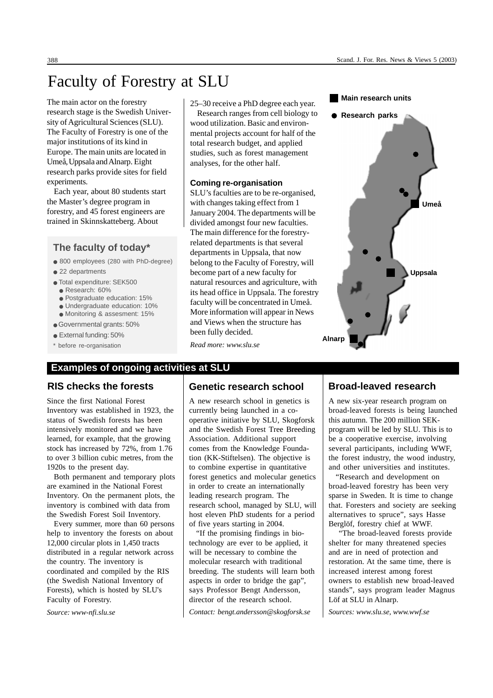## Faculty of Forestry at SLU

The main actor on the forestry research stage is the Swedish University of Agricultural Sciences (SLU). The Faculty of Forestry is one of the major institutions of its kind in Europe. The main units are located in Umeå, Uppsala and Alnarp. Eight research parks provide sites for field experiments.

Each year, about 80 students start the Master's degree program in forestry, and 45 forest engineers are trained in Skinnskatteberg. About

#### **The faculty of today\***

- 800 employees (280 with PhD-degree)
- 22 departments
- Total expenditure: SEK500
	- Research: 60%
	- Postgraduate education: 15%
	- Undergraduate education: 10%
	- Monitoring & assesment: 15%
- Governmental grants: 50%
- External funding: 50%
- \* before re-organisation

#### **Examples of ongoing activities at SLU**

#### **RIS checks the forests**

Since the first National Forest Inventory was established in 1923, the status of Swedish forests has been intensively monitored and we have learned, for example, that the growing stock has increased by 72%, from 1.76 to over 3 billion cubic metres, from the 1920s to the present day.

Both permanent and temporary plots are examined in the National Forest Inventory. On the permanent plots, the inventory is combined with data from the Swedish Forest Soil Inventory.

Every summer, more than 60 persons help to inventory the forests on about 12,000 circular plots in 1,450 tracts distributed in a regular network across the country. The inventory is coordinated and compiled by the RIS (the Swedish National Inventory of Forests), which is hosted by SLU's Faculty of Forestry.

*Source: www-nfi.slu.se*

25–30 receive a PhD degree each year. Research ranges from cell biology to wood utilization. Basic and environmental projects account for half of the total research budget, and applied studies, such as forest management analyses, for the other half.

#### **Coming re-organisation**

SLU's faculties are to be re-organised, with changes taking effect from 1 January 2004. The departments will be divided amongst four new faculties. The main difference for the forestryrelated departments is that several departments in Uppsala, that now belong to the Faculty of Forestry, will become part of a new faculty for natural resources and agriculture, with its head office in Uppsala. The forestry faculty will be concentrated in Umeå. More information will appear in News and Views when the structure has been fully decided.

**Umeå Uppsala Alnarp Main research units Research parks**

*Read more: www.slu.se*

#### **Genetic research school**

A new research school in genetics is currently being launched in a cooperative initiative by SLU, Skogforsk and the Swedish Forest Tree Breeding Association. Additional support comes from the Knowledge Foundation (KK-Stiftelsen). The objective is to combine expertise in quantitative forest genetics and molecular genetics in order to create an internationally leading research program. The research school, managed by SLU, will host eleven PhD students for a period of five years starting in 2004.

"If the promising findings in biotechnology are ever to be applied, it will be necessary to combine the molecular research with traditional breeding. The students will learn both aspects in order to bridge the gap", says Professor Bengt Andersson, director of the research school.

*Contact: bengt.andersson@skogforsk.se*

#### **Broad-leaved research**

A new six-year research program on broad-leaved forests is being launched this autumn. The 200 million SEKprogram will be led by SLU. This is to be a cooperative exercise, involving several participants, including WWF, the forest industry, the wood industry, and other universities and institutes.

"Research and development on broad-leaved forestry has been very sparse in Sweden. It is time to change that. Foresters and society are seeking alternatives to spruce", says Hasse Berglöf, forestry chief at WWF.

 "The broad-leaved forests provide shelter for many threatened species and are in need of protection and restoration. At the same time, there is increased interest among forest owners to establish new broad-leaved stands", says program leader Magnus Löf at SLU in Alnarp.

*Sources: www.slu.se, www.wwf.se*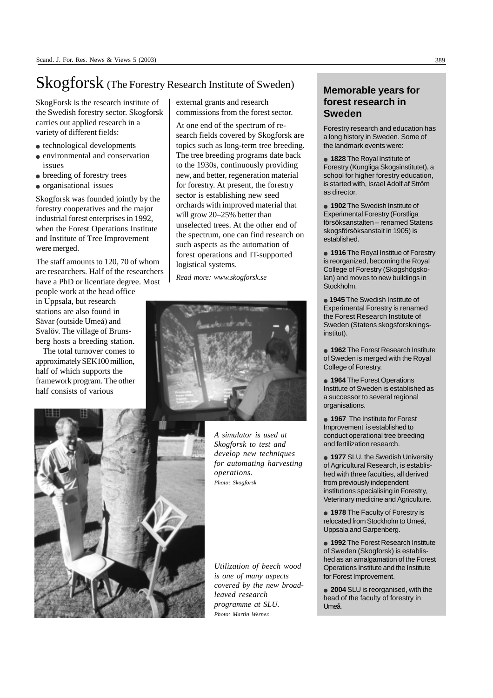## Skogforsk (The Forestry Research Institute of Sweden)

SkogForsk is the research institute of the Swedish forestry sector. Skogforsk carries out applied research in a variety of different fields:

- technological developments
- environmental and conservation issues
- breeding of forestry trees
- organisational issues

Skogforsk was founded jointly by the forestry cooperatives and the major industrial forest enterprises in 1992, when the Forest Operations Institute and Institute of Tree Improvement were merged.

The staff amounts to 120, 70 of whom are researchers. Half of the researchers have a PhD or licentiate degree. Most

people work at the head office in Uppsala, but research stations are also found in Sävar (outside Umeå) and Svalöv. The village of Brunsberg hosts a breeding station.

The total turnover comes to approximately SEK100 million, half of which supports the framework program. The other half consists of various

external grants and research commissions from the forest sector.

At one end of the spectrum of research fields covered by Skogforsk are topics such as long-term tree breeding. The tree breeding programs date back to the 1930s, continuously providing new, and better, regeneration material for forestry. At present, the forestry sector is establishing new seed orchards with improved material that will grow 20–25% better than unselected trees. At the other end of the spectrum, one can find research on such aspects as the automation of forest operations and IT-supported logistical systems.

*Read more: www.skogforsk.se*





*A simulator is used at Skogforsk to test and develop new techniques for automating harvesting operations. Photo: Skogforsk*

*Utilization of beech wood is one of many aspects covered by the new broadleaved research programme at SLU. Photo: Martin Werner.*

#### **Memorable years for forest research in Sweden**

Forestry research and education has a long history in Sweden. Some of the landmark events were:

● **1828** The Royal Institute of Forestry (Kungliga Skogsinstitutet), a school for higher forestry education, is started with, Israel Adolf af Ström as director.

● **1902** The Swedish Institute of Experimental Forestry (Forstliga försöksanstalten – renamed Statens skogsförsöksanstalt in 1905) is established.

● **1916** The Royal Institue of Forestry is reorganized, becoming the Royal College of Forestry (Skogshögskolan) and moves to new buildings in Stockholm.

● **1945** The Swedish Institute of Experimental Forestry is renamed the Forest Research Institute of Sweden (Statens skogsforskningsinstitut).

● **1962** The Forest Research Institute of Sweden is merged with the Royal College of Forestry.

● **1964** The Forest Operations Institute of Sweden is established as a successor to several regional organisations.

● 1967 The Institute for Forest Improvement is established to conduct operational tree breeding and fertilization research.

● **1977** SLU, the Swedish University of Agricultural Research, is established with three faculties, all derived from previously independent institutions specialising in Forestry, Veterinary medicine and Agriculture.

**1978** The Faculty of Forestry is relocated from Stockholm to Umeå, Uppsala and Garpenberg.

● **1992** The Forest Research Institute of Sweden (Skogforsk) is established as an amalgamation of the Forest Operations Institute and the Institute for Forest Improvement.

● **2004** SLU is reorganised, with the head of the faculty of forestry in Umeå.